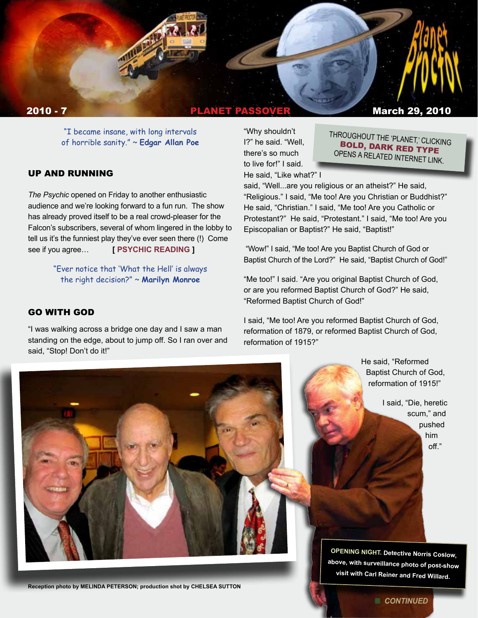

"I became insane, with long intervals of horrible sanity." ~ **Edgar Allan Poe** 

### UP AND RUNNING

*The Psychic* opened on Friday to another enthusiastic audience and we're looking forward to a fun run. The show has already proved itself to be a real crowd-pleaser for the Falcon's subscribers, several of whom lingered in the lobby to tell us it's the funniest play they've ever seen there (!) Come see if you agree… **[ PSYCHIC [READING](http://www.facebook.com/l/5953a;www.falcontheater.com/The-Psychic-Press-Release.pdf) ]**

> "Ever notice that 'What the Hell' is always the right decision?" ~ **Marilyn Monroe**

#### GO WITH GOD

"I was walking across a bridge one day and I saw a man standing on the edge, about to jump off. So I ran over and said, "Stop! Don't do it!"

"Why shouldn't I?" he said. "Well, there's so much to live for!" I said. He said, "Like what?" I

THROUGHOUT THE 'PLANET,' CLICKING BOLD, DARK RED TYPE OPENS A RELATED INTERNET LINK.

said, "Well...are you religious or an atheist?" He said, "Religious." I said, "Me too! Are you Christian or Buddhist?" He said, "Christian." I said, "Me too! Are you Catholic or Protestant?" He said, "Protestant." I said, "Me too! Are you Episcopalian or Baptist?" He said, "Baptist!"

 "Wow!" I said, "Me too! Are you Baptist Church of God or Baptist Church of the Lord?" He said, "Baptist Church of God!"

"Me too!" I said. "Are you original Baptist Church of God, or are you reformed Baptist Church of God?" He said, "Reformed Baptist Church of God!"

I said, "Me too! Are you reformed Baptist Church of God, reformation of 1879, or reformed Baptist Church of God, reformation of 1915?"

> He said, "Reformed Baptist Church of God, reformation of 1915!"

> > I said, "Die, heretic scum," and pushed him off."

**OPENING NIGHT. Detective Norris Coslow, above, with surveillance photo of post-show visit with Carl Reiner and Fred Willard.**

**Reception photo by MELINDA PETERSON; production shot by CHELSEA SUTTON**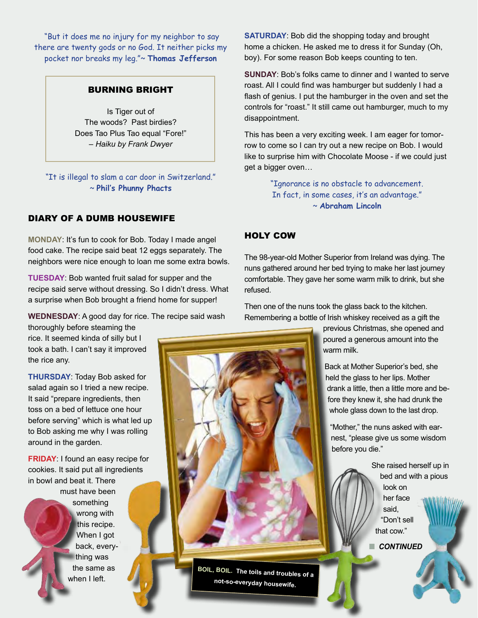"But it does me no injury for my neighbor to say there are twenty gods or no God. It neither picks my pocket nor breaks my leg."~ **Thomas Jefferson**

#### BURNING BRIGHT

Is Tiger out of The woods? Past birdies? Does Tao Plus Tao equal "Fore!" – *Haiku by Frank Dwyer*

"It is illegal to slam a car door in Switzerland." ~ **Phil's Phunny Phacts**

### DIARY OF A DUMB HOUSEWIFE

**MONDAY**: It's fun to cook for Bob. Today I made angel food cake. The recipe said beat 12 eggs separately. The neighbors were nice enough to loan me some extra bowls.

**TUESDAY**: Bob wanted fruit salad for supper and the recipe said serve without dressing. So I didn't dress. What a surprise when Bob brought a friend home for supper!

**WEDNESDAY**: A good day for rice. The recipe said wash

thoroughly before steaming the rice. It seemed kinda of silly but I took a bath. I can't say it improved the rice any.

**THURSDAY**: Today Bob asked for salad again so I tried a new recipe. It said "prepare ingredients, then toss on a bed of lettuce one hour before serving" which is what led up to Bob asking me why I was rolling around in the garden.

**FRIDAY**: I found an easy recipe for cookies. It said put all ingredients in bowl and beat it. There

> must have been something wrong with this recipe. When I got back, everything was the same as when I left.

**SATURDAY**: Bob did the shopping today and brought home a chicken. He asked me to dress it for Sunday (Oh, boy). For some reason Bob keeps counting to ten.

**SUNDAY**: Bob's folks came to dinner and I wanted to serve roast. All I could find was hamburger but suddenly I had a flash of genius. I put the hamburger in the oven and set the controls for "roast." It still came out hamburger, much to my disappointment.

This has been a very exciting week. I am eager for tomorrow to come so I can try out a new recipe on Bob. I would like to surprise him with Chocolate Moose - if we could just get a bigger oven…

> "Ignorance is no obstacle to advancement. In fact, in some cases, it's an advantage." ~ **Abraham Lincoln**

### HOLY COW

The 98-year-old Mother Superior from Ireland was dying. The nuns gathered around her bed trying to make her last journey comfortable. They gave her some warm milk to drink, but she refused.

Then one of the nuns took the glass back to the kitchen. Remembering a bottle of Irish whiskey received as a gift the

> previous Christmas, she opened and poured a generous amount into the warm milk.

Back at Mother Superior's bed, she held the glass to her lips. Mother drank a little, then a little more and before they knew it, she had drunk the whole glass down to the last drop.

"Mother," the nuns asked with earnest, "please give us some wisdom before you die."

> She raised herself up in bed and with a pious look on her face said, "Don't sell that cow."

**n** CONTINUED

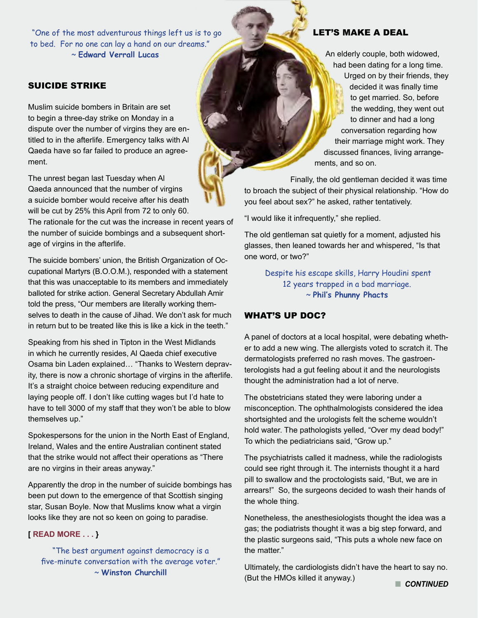"One of the most adventurous things left us is to go to bed. For no one can lay a hand on our dreams." ~ **Edward Verrall Lucas**

# SUICIDE STRIKE

Muslim suicide bombers in Britain are set to begin a three-day strike on Monday in a dispute over the number of virgins they are entitled to in the afterlife. Emergency talks with Al Qaeda have so far failed to produce an agreement.

The unrest began last Tuesday when Al Qaeda announced that the number of virgins a suicide bomber would receive after his death will be cut by 25% this April from 72 to only 60.

The rationale for the cut was the increase in recent years of the number of suicide bombings and a subsequent shortage of virgins in the afterlife.

The suicide bombers' union, the British Organization of Occupational Martyrs (B.O.O.M.), responded with a statement that this was unacceptable to its members and immediately balloted for strike action. General Secretary Abdullah Amir told the press, "Our members are literally working themselves to death in the cause of Jihad. We don't ask for much in return but to be treated like this is like a kick in the teeth."

Speaking from his shed in Tipton in the West Midlands in which he currently resides, Al Qaeda chief executive Osama bin Laden explained… "Thanks to Western depravity, there is now a chronic shortage of virgins in the afterlife. It's a straight choice between reducing expenditure and laying people off. I don't like cutting wages but I'd hate to have to tell 3000 of my staff that they won't be able to blow themselves up."

Spokespersons for the union in the North East of England, Ireland, Wales and the entire Australian continent stated that the strike would not affect their operations as "There are no virgins in their areas anyway."

Apparently the drop in the number of suicide bombings has been put down to the emergence of that Scottish singing star, Susan Boyle. Now that Muslims know what a virgin looks like they are not so keen on going to paradise.

#### **[ READ [MORE](http://www.thespoof.com/news/spoof.cfm?headline=s1i70804) . . . }**

"The best argument against democracy is a five-minute conversation with the average voter." ~ **Winston Churchill**

# LET'S MAKE A DEAL

An elderly couple, both widowed, had been dating for a long time. Urged on by their friends, they decided it was finally time to get married. So, before the wedding, they went out to dinner and had a long conversation regarding how their marriage might work. They discussed finances, living arrangements, and so on.

Finally, the old gentleman decided it was time to broach the subject of their physical relationship. "How do you feel about sex?" he asked, rather tentatively.

"I would like it infrequently," she replied.

The old gentleman sat quietly for a moment, adjusted his glasses, then leaned towards her and whispered, "Is that one word, or two?"

> Despite his escape skills, Harry Houdini spent 12 years trapped in a bad marriage. ~ **Phil's Phunny Phacts**

#### WHAT'S UP DOC?

A panel of doctors at a local hospital, were debating whether to add a new wing. The allergists voted to scratch it. The dermatologists preferred no rash moves. The gastroenterologists had a gut feeling about it and the neurologists thought the administration had a lot of nerve.

The obstetricians stated they were laboring under a misconception. The ophthalmologists considered the idea shortsighted and the urologists felt the scheme wouldn't hold water. The pathologists yelled, "Over my dead body!" To which the pediatricians said, "Grow up."

The psychiatrists called it madness, while the radiologists could see right through it. The internists thought it a hard pill to swallow and the proctologists said, "But, we are in arrears!" So, the surgeons decided to wash their hands of the whole thing.

Nonetheless, the anesthesiologists thought the idea was a gas; the podiatrists thought it was a big step forward, and the plastic surgeons said, "This puts a whole new face on the matter."

Ultimately, the cardiologists didn't have the heart to say no. (But the HMOs killed it anyway.) **CONTINUED**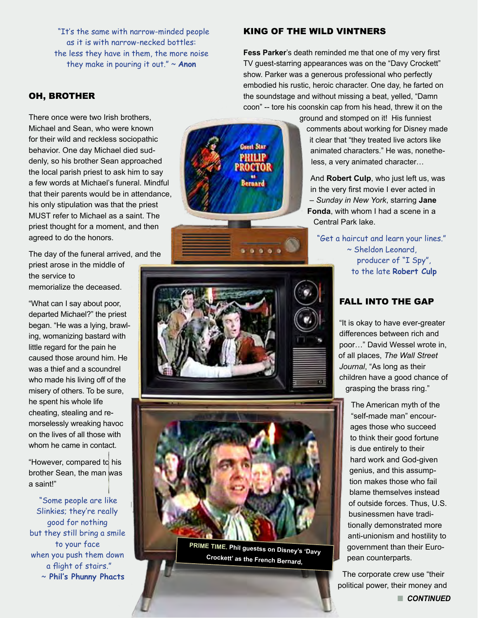"It's the same with narrow-minded people as it is with narrow-necked bottles: the less they have in them, the more noise they make in pouring it out." ~ **Anon**

# OH, BROTHER

There once were two Irish brothers, Michael and Sean, who were known for their wild and reckless sociopathic behavior. One day Michael died suddenly, so his brother Sean approached the local parish priest to ask him to say a few words at Michael's funeral. Mindful that their parents would be in attendance, his only stipulation was that the priest MUST refer to Michael as a saint. The priest thought for a moment, and then agreed to do the honors.

The day of the funeral arrived, and the priest arose in the middle of the service to memorialize the deceased.

"What can I say about poor, departed Michael?" the priest began. "He was a lying, brawling, womanizing bastard with little regard for the pain he caused those around him. He was a thief and a scoundrel who made his living off of the misery of others. To be sure, he spent his whole life cheating, stealing and remorselessly wreaking havoc on the lives of all those with whom he came in contact.

"However, compared to his brother Sean, the man was a saint!"

 "Some people are like Slinkies; they're really good for nothing but they still bring a smile to your face when you push them down a flight of stairs." ~ **Phil's Phunny Phacts**

KING OF THE WILD VINTNERS

**Fess Parker**'s death reminded me that one of my very first TV guest-starring appearances was on the "Davy Crockett" show. Parker was a generous professional who perfectly embodied his rustic, heroic character. One day, he farted on the soundstage and without missing a beat, yelled, "Damn coon" -- tore his coonskin cap from his head, threw it on the

> ground and stomped on it! His funniest comments about working for Disney made it clear that "they treated live actors like animated characters." He was, nonetheless, a very animated character…

And **Robert Culp**, who just left us, was in the very first movie I ever acted in – *Sunday in New York*, starring **Jane Fonda**, with whom I had a scene in a Central Park lake.

"Get a haircut and learn your lines." ~ Sheldon Leonard, producer of "I Spy", to the late **Robert Culp** 

# FALL INTO THE GAP

"It is okay to have ever-greater differences between rich and poor…" David Wessel wrote in, of all places, *The Wall Street Journal*, "As long as their children have a good chance of grasping the brass ring."

The American myth of the "self-made man" encourages those who succeed to think their good fortune is due entirely to their hard work and God-given genius, and this assumption makes those who fail blame themselves instead of outside forces. Thus, U.S. businessmen have traditionally demonstrated more anti-unionism and hostility to government than their European counterparts.

The corporate crew use "their political power, their money and n *CONTINUED*



**Guest Star** PHILIP

**Bernard** 



**PRIME TIME. Phil guestss on Disney's 'Davy Crockett' as the French Bernard,**